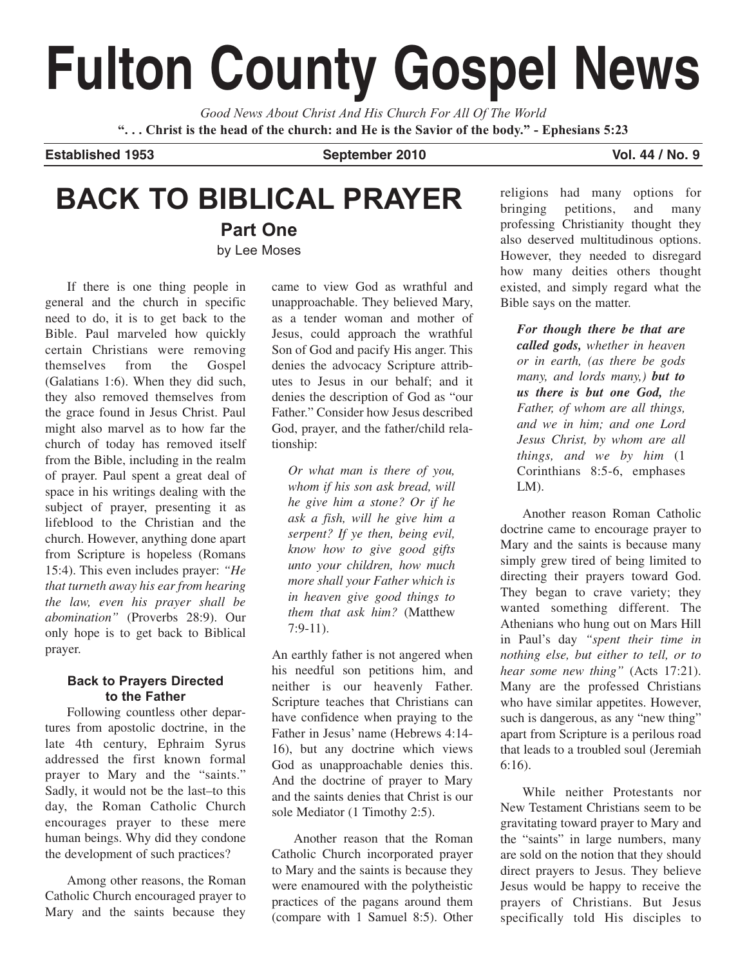# **Fulton County Gospel News**

*Good News About Christ And His Church For All Of The World* **". . . Christ is the head of the church: and He is the Savior of the body." - Ephesians 5:23**

Established 1953 **September 2010** Vol. 44 / No. 9

## **BACK TO BIBLICAL PRAYER**

**Part One** by Lee Moses

If there is one thing people in general and the church in specific need to do, it is to get back to the Bible. Paul marveled how quickly certain Christians were removing themselves from the Gospel (Galatians 1:6). When they did such, they also removed themselves from the grace found in Jesus Christ. Paul might also marvel as to how far the church of today has removed itself from the Bible, including in the realm of prayer. Paul spent a great deal of space in his writings dealing with the subject of prayer, presenting it as lifeblood to the Christian and the church. However, anything done apart from Scripture is hopeless (Romans 15:4). This even includes prayer: *"He that turneth away his ear from hearing the law, even his prayer shall be abomination"* (Proverbs 28:9). Our only hope is to get back to Biblical prayer.

## **Back to Prayers Directed to the Father**

Following countless other departures from apostolic doctrine, in the late 4th century, Ephraim Syrus addressed the first known formal prayer to Mary and the "saints." Sadly, it would not be the last–to this day, the Roman Catholic Church encourages prayer to these mere human beings. Why did they condone the development of such practices?

Among other reasons, the Roman Catholic Church encouraged prayer to Mary and the saints because they

came to view God as wrathful and unapproachable. They believed Mary, as a tender woman and mother of Jesus, could approach the wrathful Son of God and pacify His anger. This denies the advocacy Scripture attributes to Jesus in our behalf; and it denies the description of God as "our Father." Consider how Jesus described God, prayer, and the father/child relationship:

*Or what man is there of you, whom if his son ask bread, will he give him a stone? Or if he ask a fish, will he give him a serpent? If ye then, being evil, know how to give good gifts unto your children, how much more shall your Father which is in heaven give good things to them that ask him?* (Matthew 7:9-11).

An earthly father is not angered when his needful son petitions him, and neither is our heavenly Father. Scripture teaches that Christians can have confidence when praying to the Father in Jesus' name (Hebrews 4:14- 16), but any doctrine which views God as unapproachable denies this. And the doctrine of prayer to Mary and the saints denies that Christ is our sole Mediator (1 Timothy 2:5).

Another reason that the Roman Catholic Church incorporated prayer to Mary and the saints is because they were enamoured with the polytheistic practices of the pagans around them (compare with 1 Samuel 8:5). Other religions had many options for bringing petitions, and many professing Christianity thought they also deserved multitudinous options. However, they needed to disregard how many deities others thought existed, and simply regard what the Bible says on the matter.

*For though there be that are called gods, whether in heaven or in earth, (as there be gods many, and lords many,) but to us there is but one God, the Father, of whom are all things, and we in him; and one Lord Jesus Christ, by whom are all things, and we by him* (1 Corinthians 8:5-6, emphases LM).

Another reason Roman Catholic doctrine came to encourage prayer to Mary and the saints is because many simply grew tired of being limited to directing their prayers toward God. They began to crave variety; they wanted something different. The Athenians who hung out on Mars Hill in Paul's day *"spent their time in nothing else, but either to tell, or to hear some new thing"* (Acts 17:21). Many are the professed Christians who have similar appetites. However, such is dangerous, as any "new thing" apart from Scripture is a perilous road that leads to a troubled soul (Jeremiah 6:16).

While neither Protestants nor New Testament Christians seem to be gravitating toward prayer to Mary and the "saints" in large numbers, many are sold on the notion that they should direct prayers to Jesus. They believe Jesus would be happy to receive the prayers of Christians. But Jesus specifically told His disciples to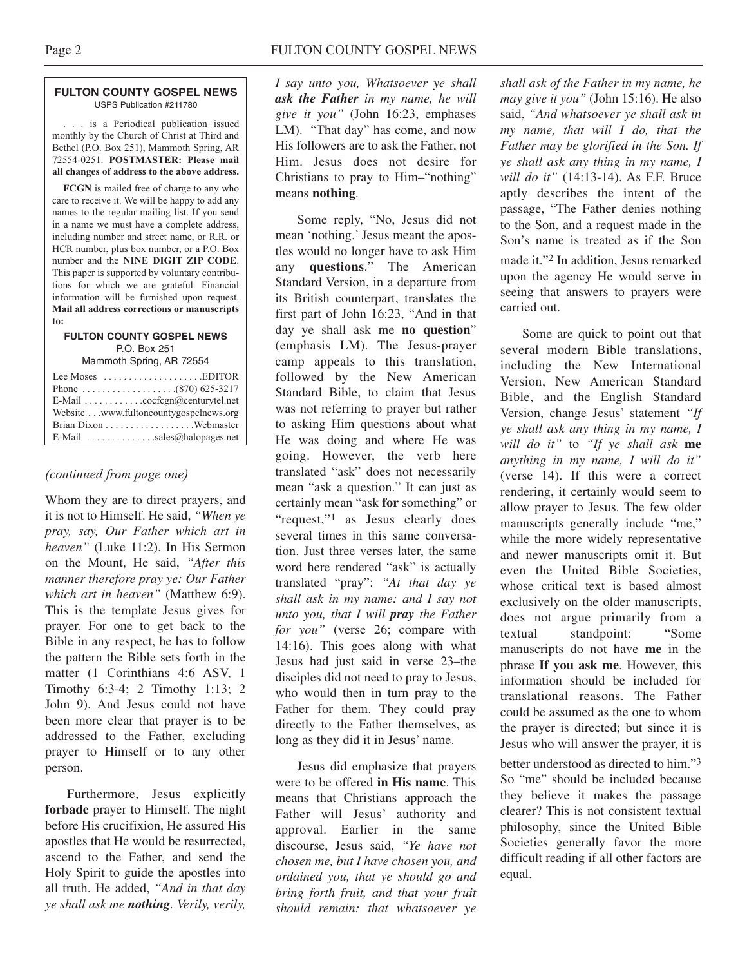#### **FULTON COUNTY GOSPEL NEWS** USPS Publication #211780

. . . is a Periodical publication issued monthly by the Church of Christ at Third and Bethel (P.O. Box 251), Mammoth Spring, AR 72554-0251. **POSTMASTER: Please mail all changes of address to the above address.**

**FCGN** is mailed free of charge to any who care to receive it. We will be happy to add any names to the regular mailing list. If you send in a name we must have a complete address, including number and street name, or R.R. or HCR number, plus box number, or a P.O. Box number and the **NINE DIGIT ZIP CODE**. This paper is supported by voluntary contributions for which we are grateful. Financial information will be furnished upon request. **Mail all address corrections or manuscripts to:**

### **FULTON COUNTY GOSPEL NEWS** P.O. Box 251

Mammoth Spring, AR 72554

| Lee Moses $\dots\dots\dots\dots\dots\dots$ . EDITOR |
|-----------------------------------------------------|
|                                                     |
| E-Mail cocfcgn@centurytel.net                       |
| Website www.fultoncountygospelnews.org              |
|                                                     |
| E-Mail $\ldots$ sales@halopages.net                 |

## *(continued from page one)*

Whom they are to direct prayers, and it is not to Himself. He said, *"When ye pray, say, Our Father which art in heaven"* (Luke 11:2). In His Sermon on the Mount, He said, *"After this manner therefore pray ye: Our Father which art in heaven"* (Matthew 6:9). This is the template Jesus gives for prayer. For one to get back to the Bible in any respect, he has to follow the pattern the Bible sets forth in the matter (1 Corinthians 4:6 ASV, 1 Timothy 6:3-4; 2 Timothy 1:13; 2 John 9). And Jesus could not have been more clear that prayer is to be addressed to the Father, excluding prayer to Himself or to any other person.

Furthermore, Jesus explicitly **forbade** prayer to Himself. The night before His crucifixion, He assured His apostles that He would be resurrected, ascend to the Father, and send the Holy Spirit to guide the apostles into all truth. He added, *"And in that day ye shall ask me nothing. Verily, verily,*

*I say unto you, Whatsoever ye shall ask the Father in my name, he will give it you"* (John 16:23, emphases LM). "That day" has come, and now His followers are to ask the Father, not Him. Jesus does not desire for Christians to pray to Him–"nothing" means **nothing**.

Some reply, "No, Jesus did not mean 'nothing.' Jesus meant the apostles would no longer have to ask Him any **questions**." The American Standard Version, in a departure from its British counterpart, translates the first part of John 16:23, "And in that day ye shall ask me **no question**" (emphasis LM). The Jesus-prayer camp appeals to this translation, followed by the New American Standard Bible, to claim that Jesus was not referring to prayer but rather to asking Him questions about what He was doing and where He was going. However, the verb here translated "ask" does not necessarily mean "ask a question." It can just as certainly mean "ask **for** something" or "request,"<sup>1</sup> as Jesus clearly does several times in this same conversation. Just three verses later, the same word here rendered "ask" is actually translated "pray": *"At that day ye shall ask in my name: and I say not unto you, that I will pray the Father for you"* (verse 26; compare with 14:16). This goes along with what Jesus had just said in verse 23–the disciples did not need to pray to Jesus, who would then in turn pray to the Father for them. They could pray directly to the Father themselves, as long as they did it in Jesus' name.

Jesus did emphasize that prayers were to be offered **in His name**. This means that Christians approach the Father will Jesus' authority and approval. Earlier in the same discourse, Jesus said, *"Ye have not chosen me, but I have chosen you, and ordained you, that ye should go and bring forth fruit, and that your fruit should remain: that whatsoever ye*

*shall ask of the Father in my name, he may give it you"* (John 15:16). He also said, *"And whatsoever ye shall ask in my name, that will I do, that the Father may be glorified in the Son. If ye shall ask any thing in my name, I will do it"* (14:13-14). As F.F. Bruce aptly describes the intent of the passage, "The Father denies nothing to the Son, and a request made in the Son's name is treated as if the Son made it."2 In addition, Jesus remarked upon the agency He would serve in seeing that answers to prayers were carried out.

Some are quick to point out that several modern Bible translations, including the New International Version, New American Standard Bible, and the English Standard Version, change Jesus' statement *"If ye shall ask any thing in my name, I will do it"* to *"If ye shall ask* **me** *anything in my name, I will do it"* (verse 14). If this were a correct rendering, it certainly would seem to allow prayer to Jesus. The few older manuscripts generally include "me," while the more widely representative and newer manuscripts omit it. But even the United Bible Societies, whose critical text is based almost exclusively on the older manuscripts, does not argue primarily from a textual standpoint: "Some manuscripts do not have **me** in the phrase **If you ask me**. However, this information should be included for translational reasons. The Father could be assumed as the one to whom the prayer is directed; but since it is Jesus who will answer the prayer, it is

better understood as directed to him."3 So "me" should be included because they believe it makes the passage clearer? This is not consistent textual philosophy, since the United Bible Societies generally favor the more difficult reading if all other factors are equal.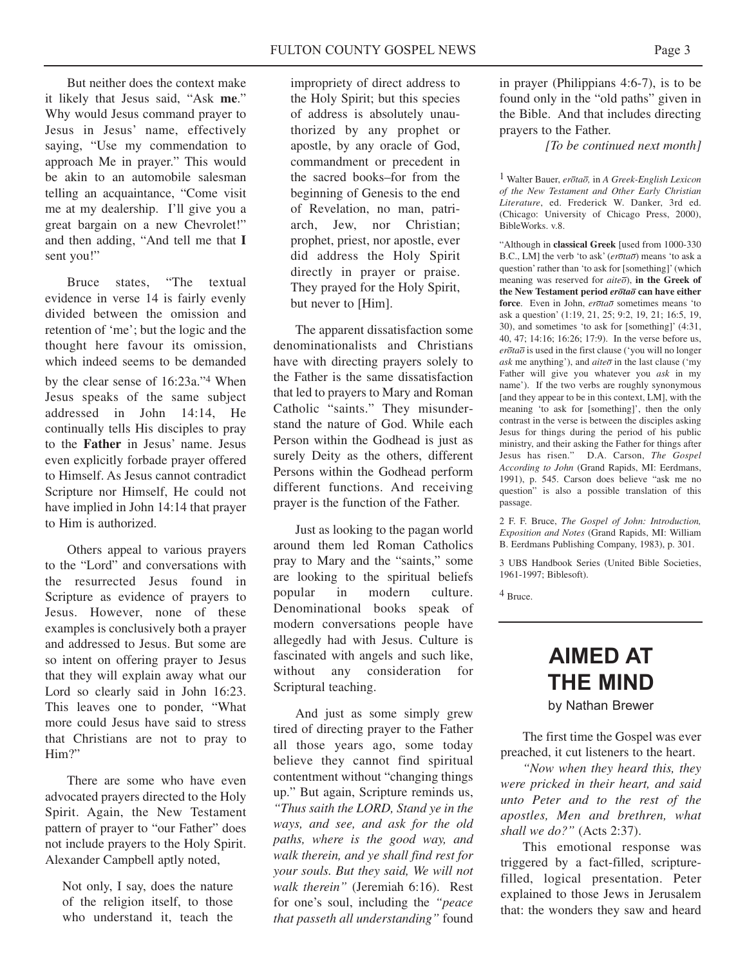But neither does the context make it likely that Jesus said, "Ask **me**." Why would Jesus command prayer to Jesus in Jesus' name, effectively saying, "Use my commendation to approach Me in prayer." This would be akin to an automobile salesman telling an acquaintance, "Come visit me at my dealership. I'll give you a great bargain on a new Chevrolet!" and then adding, "And tell me that **I** sent you!"

Bruce states, "The textual evidence in verse 14 is fairly evenly divided between the omission and retention of 'me'; but the logic and the thought here favour its omission, which indeed seems to be demanded by the clear sense of 16:23a."4 When Jesus speaks of the same subject addressed in John 14:14, He continually tells His disciples to pray to the **Father** in Jesus' name. Jesus even explicitly forbade prayer offered to Himself. As Jesus cannot contradict Scripture nor Himself, He could not have implied in John 14:14 that prayer to Him is authorized.

Others appeal to various prayers to the "Lord" and conversations with the resurrected Jesus found in Scripture as evidence of prayers to Jesus. However, none of these examples is conclusively both a prayer and addressed to Jesus. But some are so intent on offering prayer to Jesus that they will explain away what our Lord so clearly said in John 16:23. This leaves one to ponder, "What more could Jesus have said to stress that Christians are not to pray to Him?"

There are some who have even advocated prayers directed to the Holy Spirit. Again, the New Testament pattern of prayer to "our Father" does not include prayers to the Holy Spirit. Alexander Campbell aptly noted,

Not only, I say, does the nature of the religion itself, to those who understand it, teach the

impropriety of direct address to the Holy Spirit; but this species of address is absolutely unauthorized by any prophet or apostle, by any oracle of God, commandment or precedent in the sacred books–for from the beginning of Genesis to the end of Revelation, no man, patriarch, Jew, nor Christian; prophet, priest, nor apostle, ever did address the Holy Spirit directly in prayer or praise. They prayed for the Holy Spirit, but never to [Him].

The apparent dissatisfaction some denominationalists and Christians have with directing prayers solely to the Father is the same dissatisfaction that led to prayers to Mary and Roman Catholic "saints." They misunderstand the nature of God. While each Person within the Godhead is just as surely Deity as the others, different Persons within the Godhead perform different functions. And receiving prayer is the function of the Father.

Just as looking to the pagan world around them led Roman Catholics pray to Mary and the "saints," some are looking to the spiritual beliefs popular in modern culture. Denominational books speak of modern conversations people have allegedly had with Jesus. Culture is fascinated with angels and such like, without any consideration for Scriptural teaching.

And just as some simply grew tired of directing prayer to the Father all those years ago, some today believe they cannot find spiritual contentment without "changing things up." But again, Scripture reminds us, *"Thus saith the LORD, Stand ye in the ways, and see, and ask for the old paths, where is the good way, and walk therein, and ye shall find rest for your souls. But they said, We will not walk therein"* (Jeremiah 6:16). Rest for one's soul, including the *"peace that passeth all understanding"* found

in prayer (Philippians 4:6-7), is to be found only in the "old paths" given in the Bible. And that includes directing prayers to the Father.

*[To be continued next month]*

1 Walter Bauer, *erotao,* in *A Greek-English Lexicon of the New Testament and Other Early Christian Literature*, ed. Frederick W. Danker, 3rd ed. (Chicago: University of Chicago Press, 2000), BibleWorks. v.8.

"Although in **classical Greek** [used from 1000-330 B.C., LM] the verb 'to ask' (*erotao*) means 'to ask a question' rather than 'to ask for [something]' (which meaning was reserved for *aiteo*), **in the Greek of the New Testament period** *erotao* **can have either** force. Even in John,  $e\overline{r}$ *da*<sup> $\overline{o}$ </sup> sometimes means 'to ask a question' (1:19, 21, 25; 9:2, 19, 21; 16:5, 19, 30), and sometimes 'to ask for [something]' (4:31, 40, 47; 14:16; 16:26; 17:9). In the verse before us, *erotao* is used in the first clause ('you will no longer  $ask$  me anything'), and  $aite\bar{o}$  in the last clause ('my Father will give you whatever you *ask* in my name'). If the two verbs are roughly synonymous [and they appear to be in this context, LM], with the meaning 'to ask for [something]', then the only contrast in the verse is between the disciples asking Jesus for things during the period of his public ministry, and their asking the Father for things after Jesus has risen." D.A. Carson, *The Gospel According to John* (Grand Rapids, MI: Eerdmans, 1991), p. 545. Carson does believe "ask me no question" is also a possible translation of this passage.

2 F. F. Bruce, *The Gospel of John: Introduction, Exposition and Notes* (Grand Rapids, MI: William B. Eerdmans Publishing Company, 1983), p. 301.

3 UBS Handbook Series (United Bible Societies, 1961-1997; Biblesoft).

4 Bruce.

## **AIMED AT THE MIND**

by Nathan Brewer

The first time the Gospel was ever preached, it cut listeners to the heart.

*"Now when they heard this, they were pricked in their heart, and said unto Peter and to the rest of the apostles, Men and brethren, what shall we do?"* (Acts 2:37).

This emotional response was triggered by a fact-filled, scripturefilled, logical presentation. Peter explained to those Jews in Jerusalem that: the wonders they saw and heard